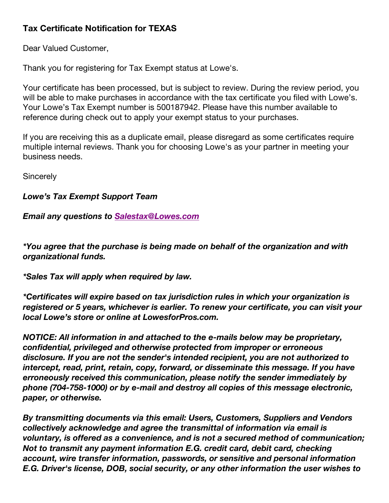## **Tax Certificate Notification for TEXAS**

Dear Valued Customer,

Thank you for registering for Tax Exempt status at Lowe's.

Your certificate has been processed, but is subject to review. During the review period, you will be able to make purchases in accordance with the tax certificate you filed with Lowe's. Your Lowe's Tax Exempt number is 500187942. Please have this number available to reference during check out to apply your exempt status to your purchases.

If you are receiving this as a duplicate email, please disregard as some certificates require multiple internal reviews. Thank you for choosing Lowe's as your partner in meeting your business needs.

**Sincerely** 

## *Lowe's Tax Exempt Support Team*

## *Email any questions to Salestax@Lowes.com*

*\*You agree that the purchase is being made on behalf of the organization and with organizational funds.*

*\*Sales Tax will apply when required by law.*

*\*Certificates will expire based on tax jurisdiction rules in which your organization is registered or 5 years, whichever is earlier. To renew your certificate, you can visit your local Lowe's store or online at LowesforPros.com.*

*NOTICE: All information in and attached to the e-mails below may be proprietary, confidential, privileged and otherwise protected from improper or erroneous disclosure. If you are not the sender's intended recipient, you are not authorized to intercept, read, print, retain, copy, forward, or disseminate this message. If you have erroneously received this communication, please notify the sender immediately by phone (704-758-1000) or by e-mail and destroy all copies of this message electronic, paper, or otherwise.*

*By transmitting documents via this email: Users, Customers, Suppliers and Vendors collectively acknowledge and agree the transmittal of information via email is voluntary, is offered as a convenience, and is not a secured method of communication; Not to transmit any payment information E.G. credit card, debit card, checking account, wire transfer information, passwords, or sensitive and personal information E.G. Driver's license, DOB, social security, or any other information the user wishes to*